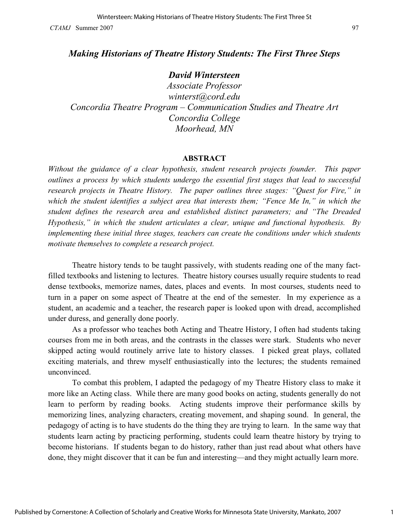## David Wintersteen

Associate Professor winterst@cord.edu Concordia Theatre Program – Communication Studies and Theatre Art Concordia College Moorhead, MN

### ABSTRACT

Without the guidance of a clear hypothesis, student research projects founder. This paper outlines a process by which students undergo the essential first stages that lead to successful research projects in Theatre History. The paper outlines three stages: "Quest for Fire," in which the student identifies a subject area that interests them; "Fence Me In," in which the student defines the research area and established distinct parameters; and "The Dreaded Hypothesis," in which the student articulates a clear, unique and functional hypothesis. By implementing these initial three stages, teachers can create the conditions under which students motivate themselves to complete a research project.

Theatre history tends to be taught passively, with students reading one of the many factfilled textbooks and listening to lectures. Theatre history courses usually require students to read dense textbooks, memorize names, dates, places and events. In most courses, students need to turn in a paper on some aspect of Theatre at the end of the semester. In my experience as a student, an academic and a teacher, the research paper is looked upon with dread, accomplished under duress, and generally done poorly.

As a professor who teaches both Acting and Theatre History, I often had students taking courses from me in both areas, and the contrasts in the classes were stark. Students who never skipped acting would routinely arrive late to history classes. I picked great plays, collated exciting materials, and threw myself enthusiastically into the lectures; the students remained unconvinced.

To combat this problem, I adapted the pedagogy of my Theatre History class to make it more like an Acting class. While there are many good books on acting, students generally do not learn to perform by reading books. Acting students improve their performance skills by memorizing lines, analyzing characters, creating movement, and shaping sound. In general, the pedagogy of acting is to have students do the thing they are trying to learn. In the same way that students learn acting by practicing performing, students could learn theatre history by trying to become historians. If students began to do history, rather than just read about what others have done, they might discover that it can be fun and interesting—and they might actually learn more.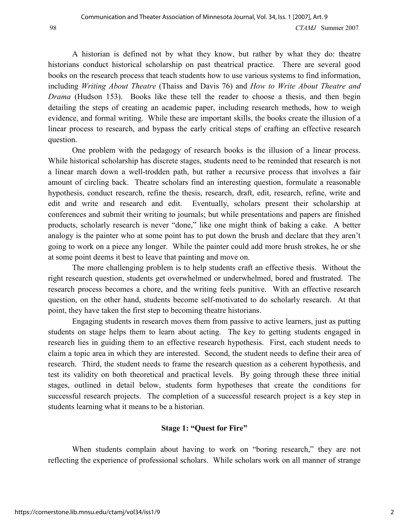A historian is defined not by what they know, but rather by what they do: theatre historians conduct historical scholarship on past theatrical practice. There are several good books on the research process that teach students how to use various systems to find information, including Writing About Theatre (Thaiss and Davis 76) and How to Write About Theatre and Drama (Hudson 153). Books like these tell the reader to choose a thesis, and then begin detailing the steps of creating an academic paper, including research methods, how to weigh evidence, and formal writing. While these are important skills, the books create the illusion of a linear process to research, and bypass the early critical steps of crafting an effective research question.

One problem with the pedagogy of research books is the illusion of a linear process. While historical scholarship has discrete stages, students need to be reminded that research is not a linear march down a well-trodden path, but rather a recursive process that involves a fair amount of circling back. Theatre scholars find an interesting question, formulate a reasonable hypothesis, conduct research, refine the thesis, research, draft, edit, research, refine, write and edit and write and research and edit. Eventually, scholars present their scholarship at conferences and submit their writing to journals; but while presentations and papers are finished products, scholarly research is never "done," like one might think of baking a cake. A better analogy is the painter who at some point has to put down the brush and declare that they aren't going to work on a piece any longer. While the painter could add more brush strokes, he or she at some point deems it best to leave that painting and move on.

The more challenging problem is to help students craft an effective thesis. Without the right research question, students get overwhelmed or underwhelmed, bored and frustrated. The research process becomes a chore, and the writing feels punitive. With an effective research question, on the other hand, students become self-motivated to do scholarly research. At that point, they have taken the first step to becoming theatre historians.

Engaging students in research moves them from passive to active learners, just as putting students on stage helps them to learn about acting. The key to getting students engaged in research lies in guiding them to an effective research hypothesis. First, each student needs to claim a topic area in which they are interested. Second, the student needs to define their area of research. Third, the student needs to frame the research question as a coherent hypothesis, and test its validity on both theoretical and practical levels. By going through these three initial stages, outlined in detail below, students form hypotheses that create the conditions for successful research projects. The completion of a successful research project is a key step in students learning what it means to be a historian.

# Stage 1: "Quest for Fire"

When students complain about having to work on "boring research," they are not reflecting the experience of professional scholars. While scholars work on all manner of strange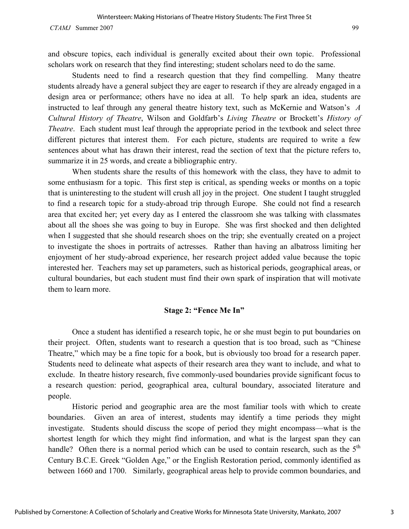and obscure topics, each individual is generally excited about their own topic. Professional scholars work on research that they find interesting; student scholars need to do the same.

Students need to find a research question that they find compelling. Many theatre students already have a general subject they are eager to research if they are already engaged in a design area or performance; others have no idea at all. To help spark an idea, students are instructed to leaf through any general theatre history text, such as McKernie and Watson's A Cultural History of Theatre, Wilson and Goldfarb's Living Theatre or Brockett's History of Theatre. Each student must leaf through the appropriate period in the textbook and select three different pictures that interest them. For each picture, students are required to write a few sentences about what has drawn their interest, read the section of text that the picture refers to, summarize it in 25 words, and create a bibliographic entry.

When students share the results of this homework with the class, they have to admit to some enthusiasm for a topic. This first step is critical, as spending weeks or months on a topic that is uninteresting to the student will crush all joy in the project. One student I taught struggled to find a research topic for a study-abroad trip through Europe. She could not find a research area that excited her; yet every day as I entered the classroom she was talking with classmates about all the shoes she was going to buy in Europe. She was first shocked and then delighted when I suggested that she should research shoes on the trip; she eventually created on a project to investigate the shoes in portraits of actresses. Rather than having an albatross limiting her enjoyment of her study-abroad experience, her research project added value because the topic interested her. Teachers may set up parameters, such as historical periods, geographical areas, or cultural boundaries, but each student must find their own spark of inspiration that will motivate them to learn more.

#### Stage 2: "Fence Me In"

Once a student has identified a research topic, he or she must begin to put boundaries on their project. Often, students want to research a question that is too broad, such as "Chinese Theatre," which may be a fine topic for a book, but is obviously too broad for a research paper. Students need to delineate what aspects of their research area they want to include, and what to exclude. In theatre history research, five commonly-used boundaries provide significant focus to a research question: period, geographical area, cultural boundary, associated literature and people.

Historic period and geographic area are the most familiar tools with which to create boundaries. Given an area of interest, students may identify a time periods they might investigate. Students should discuss the scope of period they might encompass—what is the shortest length for which they might find information, and what is the largest span they can handle? Often there is a normal period which can be used to contain research, such as the  $5<sup>th</sup>$ Century B.C.E. Greek "Golden Age," or the English Restoration period, commonly identified as between 1660 and 1700. Similarly, geographical areas help to provide common boundaries, and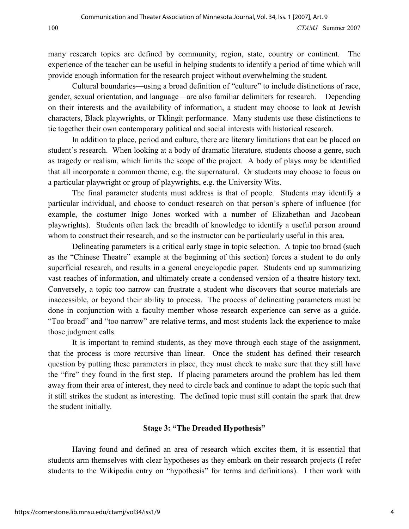many research topics are defined by community, region, state, country or continent. The experience of the teacher can be useful in helping students to identify a period of time which will provide enough information for the research project without overwhelming the student.

Cultural boundaries—using a broad definition of "culture" to include distinctions of race, gender, sexual orientation, and language—are also familiar delimiters for research. Depending on their interests and the availability of information, a student may choose to look at Jewish characters, Black playwrights, or Tklingit performance. Many students use these distinctions to tie together their own contemporary political and social interests with historical research.

In addition to place, period and culture, there are literary limitations that can be placed on student's research. When looking at a body of dramatic literature, students choose a genre, such as tragedy or realism, which limits the scope of the project. A body of plays may be identified that all incorporate a common theme, e.g. the supernatural. Or students may choose to focus on a particular playwright or group of playwrights, e.g. the University Wits.

The final parameter students must address is that of people. Students may identify a particular individual, and choose to conduct research on that person's sphere of influence (for example, the costumer Inigo Jones worked with a number of Elizabethan and Jacobean playwrights). Students often lack the breadth of knowledge to identify a useful person around whom to construct their research, and so the instructor can be particularly useful in this area.

Delineating parameters is a critical early stage in topic selection. A topic too broad (such as the "Chinese Theatre" example at the beginning of this section) forces a student to do only superficial research, and results in a general encyclopedic paper. Students end up summarizing vast reaches of information, and ultimately create a condensed version of a theatre history text. Conversely, a topic too narrow can frustrate a student who discovers that source materials are inaccessible, or beyond their ability to process. The process of delineating parameters must be done in conjunction with a faculty member whose research experience can serve as a guide. "Too broad" and "too narrow" are relative terms, and most students lack the experience to make those judgment calls.

It is important to remind students, as they move through each stage of the assignment, that the process is more recursive than linear. Once the student has defined their research question by putting these parameters in place, they must check to make sure that they still have the "fire" they found in the first step. If placing parameters around the problem has led them away from their area of interest, they need to circle back and continue to adapt the topic such that it still strikes the student as interesting. The defined topic must still contain the spark that drew the student initially.

## Stage 3: "The Dreaded Hypothesis"

Having found and defined an area of research which excites them, it is essential that students arm themselves with clear hypotheses as they embark on their research projects (I refer students to the Wikipedia entry on "hypothesis" for terms and definitions). I then work with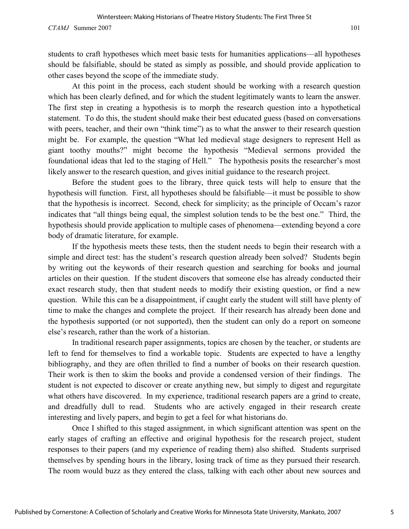students to craft hypotheses which meet basic tests for humanities applications—all hypotheses should be falsifiable, should be stated as simply as possible, and should provide application to other cases beyond the scope of the immediate study.

At this point in the process, each student should be working with a research question which has been clearly defined, and for which the student legitimately wants to learn the answer. The first step in creating a hypothesis is to morph the research question into a hypothetical statement. To do this, the student should make their best educated guess (based on conversations with peers, teacher, and their own "think time") as to what the answer to their research question might be. For example, the question "What led medieval stage designers to represent Hell as giant toothy mouths?" might become the hypothesis "Medieval sermons provided the foundational ideas that led to the staging of Hell." The hypothesis posits the researcher's most likely answer to the research question, and gives initial guidance to the research project.

Before the student goes to the library, three quick tests will help to ensure that the hypothesis will function. First, all hypotheses should be falsifiable—it must be possible to show that the hypothesis is incorrect. Second, check for simplicity; as the principle of Occam's razor indicates that "all things being equal, the simplest solution tends to be the best one." Third, the hypothesis should provide application to multiple cases of phenomena—extending beyond a core body of dramatic literature, for example.

If the hypothesis meets these tests, then the student needs to begin their research with a simple and direct test: has the student's research question already been solved? Students begin by writing out the keywords of their research question and searching for books and journal articles on their question. If the student discovers that someone else has already conducted their exact research study, then that student needs to modify their existing question, or find a new question. While this can be a disappointment, if caught early the student will still have plenty of time to make the changes and complete the project. If their research has already been done and the hypothesis supported (or not supported), then the student can only do a report on someone else's research, rather than the work of a historian.

In traditional research paper assignments, topics are chosen by the teacher, or students are left to fend for themselves to find a workable topic. Students are expected to have a lengthy bibliography, and they are often thrilled to find a number of books on their research question. Their work is then to skim the books and provide a condensed version of their findings. The student is not expected to discover or create anything new, but simply to digest and regurgitate what others have discovered. In my experience, traditional research papers are a grind to create, and dreadfully dull to read. Students who are actively engaged in their research create interesting and lively papers, and begin to get a feel for what historians do.

Once I shifted to this staged assignment, in which significant attention was spent on the early stages of crafting an effective and original hypothesis for the research project, student responses to their papers (and my experience of reading them) also shifted. Students surprised themselves by spending hours in the library, losing track of time as they pursued their research. The room would buzz as they entered the class, talking with each other about new sources and